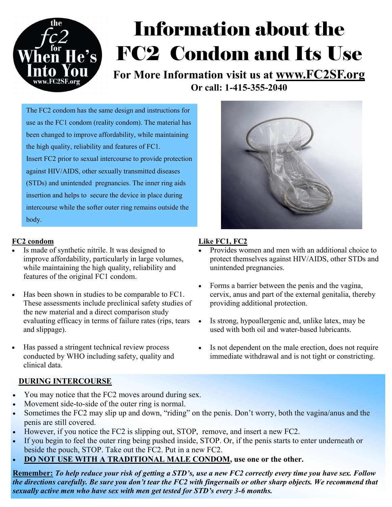

# Information about the FC2 Condom and Its Use

**For More Information visit us at www.FC2SF.org Or call: 1-415-355-2040**

The FC2 condom has the same design and instructions for use as the FC1 condom (reality condom). The material has been changed to improve affordability, while maintaining the high quality, reliability and features of FC1. Insert FC2 prior to sexual intercourse to provide protection against HIV/AIDS, other sexually transmitted diseases (STDs) and unintended pregnancies. The inner ring aids insertion and helps to secure the device in place during intercourse while the softer outer ring remains outside the body.

#### **FC2 condom**

- Is made of synthetic nitrile. It was designed to improve affordability, particularly in large volumes, while maintaining the high quality, reliability and features of the original FC1 condom.
- Has been shown in studies to be comparable to FC1. These assessments include preclinical safety studies of the new material and a direct comparison study evaluating efficacy in terms of failure rates (rips, tears and slippage).
- Has passed a stringent technical review process conducted by WHO including safety, quality and clinical data.

### **DURING INTERCOURSE**

- You may notice that the FC2 moves around during sex.
- Movement side-to-side of the outer ring is normal.
- Sometimes the FC2 may slip up and down, "riding" on the penis. Don't worry, both the vagina/anus and the penis are still covered.
- However, if you notice the FC2 is slipping out, STOP, remove, and insert a new FC2.
- If you begin to feel the outer ring being pushed inside, STOP. Or, if the penis starts to enter underneath or beside the pouch, STOP. Take out the FC2. Put in a new FC2.
- **DO NOT USE WITH A TRADITIONAL MALE CONDOM, use one or the other.**

**Remember:** *To help reduce your risk of getting a STD's, use a new FC2 correctly every time you have sex. Follow the directions carefully. Be sure you don't tear the FC2 with fingernails or other sharp objects. We recommend that sexually active men who have sex with men get tested for STD's every 3-6 months.*



### **Like FC1, FC2**

- Provides women and men with an additional choice to protect themselves against HIV/AIDS, other STDs and unintended pregnancies.
- Forms a barrier between the penis and the vagina, cervix, anus and part of the external genitalia, thereby providing additional protection.
- Is strong, hypoallergenic and, unlike latex, may be used with both oil and water-based lubricants.
	- Is not dependent on the male erection, does not require immediate withdrawal and is not tight or constricting.